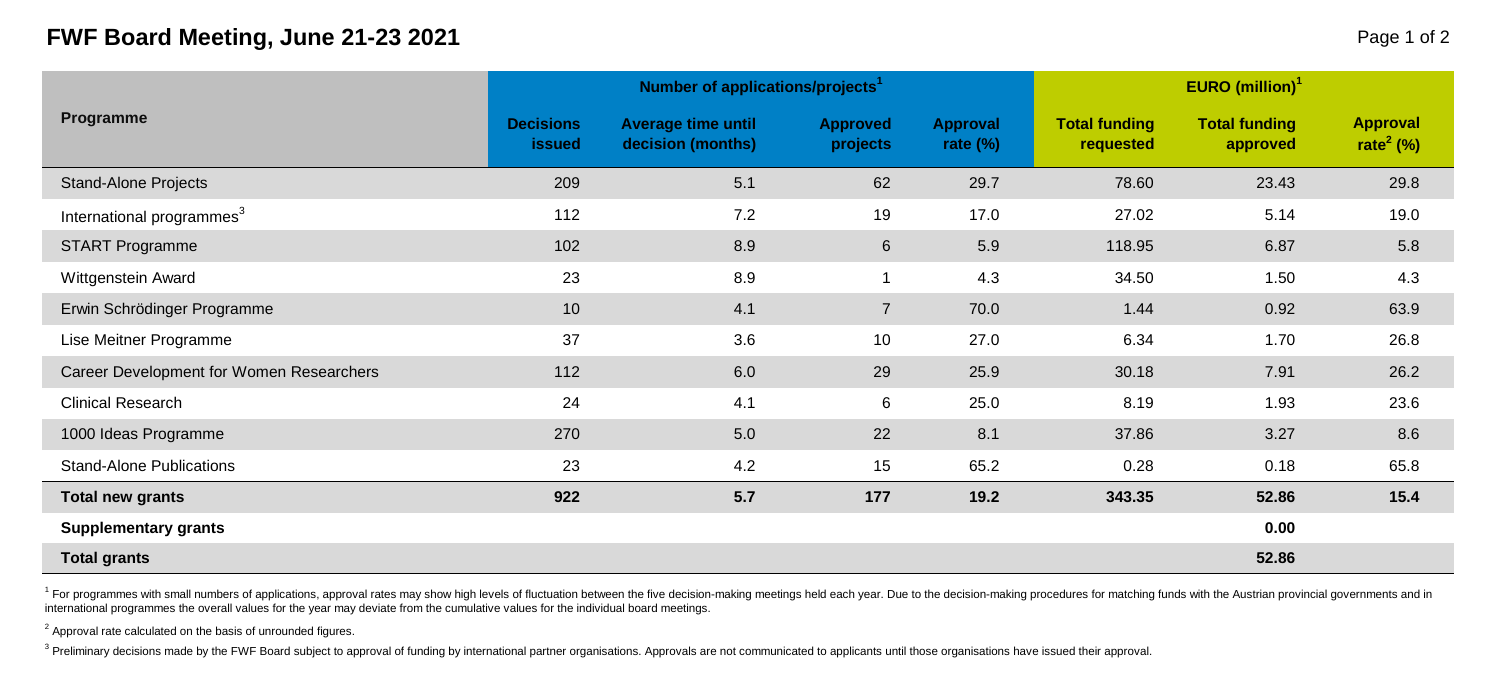## **FWF Board Meeting, June 21-23 2021** Page 1 of 2

|                                          |                                   | Number of applications/projects <sup>1</sup> |                      | <b>EURO</b> (million) <sup>1</sup> |                                   |                                  |                                          |  |
|------------------------------------------|-----------------------------------|----------------------------------------------|----------------------|------------------------------------|-----------------------------------|----------------------------------|------------------------------------------|--|
| Programme                                | <b>Decisions</b><br><b>issued</b> | Average time until<br>decision (months)      | Approved<br>projects | Approval<br>rate $(\%)$            | <b>Total funding</b><br>requested | <b>Total funding</b><br>approved | <b>Approval</b><br>rate <sup>2</sup> (%) |  |
| <b>Stand-Alone Projects</b>              | 209                               | 5.1                                          | 62                   | 29.7                               | 78.60                             | 23.43                            | 29.8                                     |  |
| International programmes <sup>3</sup>    | 112                               | 7.2                                          | 19                   | 17.0                               | 27.02                             | 5.14                             | 19.0                                     |  |
| <b>START Programme</b>                   | 102                               | 8.9                                          | $6\phantom{1}$       | 5.9                                | 118.95                            | 6.87                             | 5.8                                      |  |
| Wittgenstein Award                       | 23                                | 8.9                                          |                      | 4.3                                | 34.50                             | 1.50                             | 4.3                                      |  |
| Erwin Schrödinger Programme              | 10                                | 4.1                                          | $\overline{7}$       | 70.0                               | 1.44                              | 0.92                             | 63.9                                     |  |
| Lise Meitner Programme                   | 37                                | 3.6                                          | 10                   | 27.0                               | 6.34                              | 1.70                             | 26.8                                     |  |
| Career Development for Women Researchers | 112                               | 6.0                                          | 29                   | 25.9                               | 30.18                             | 7.91                             | 26.2                                     |  |
| <b>Clinical Research</b>                 | 24                                | 4.1                                          | 6                    | 25.0                               | 8.19                              | 1.93                             | 23.6                                     |  |
| 1000 Ideas Programme                     | 270                               | 5.0                                          | 22                   | 8.1                                | 37.86                             | 3.27                             | 8.6                                      |  |
| <b>Stand-Alone Publications</b>          | 23                                | 4.2                                          | 15                   | 65.2                               | 0.28                              | 0.18                             | 65.8                                     |  |
| <b>Total new grants</b>                  | 922                               | 5.7                                          | 177                  | 19.2                               | 343.35                            | 52.86                            | 15.4                                     |  |
| <b>Supplementary grants</b>              |                                   |                                              |                      |                                    |                                   | 0.00                             |                                          |  |
| <b>Total grants</b>                      |                                   |                                              |                      |                                    |                                   | 52.86                            |                                          |  |

<sup>1</sup> For programmes with small numbers of applications, approval rates may show high levels of fluctuation between the five decision-making meetings held each year. Due to the decision-making procedures for matching funds w international programmes the overall values for the year may deviate from the cumulative values for the individual board meetings.

 $2$  Approval rate calculated on the basis of unrounded figures.

<sup>3</sup> Preliminary decisions made by the FWF Board subject to approval of funding by international partner organisations. Approvals are not communicated to applicants until those organisations have issued their approval.